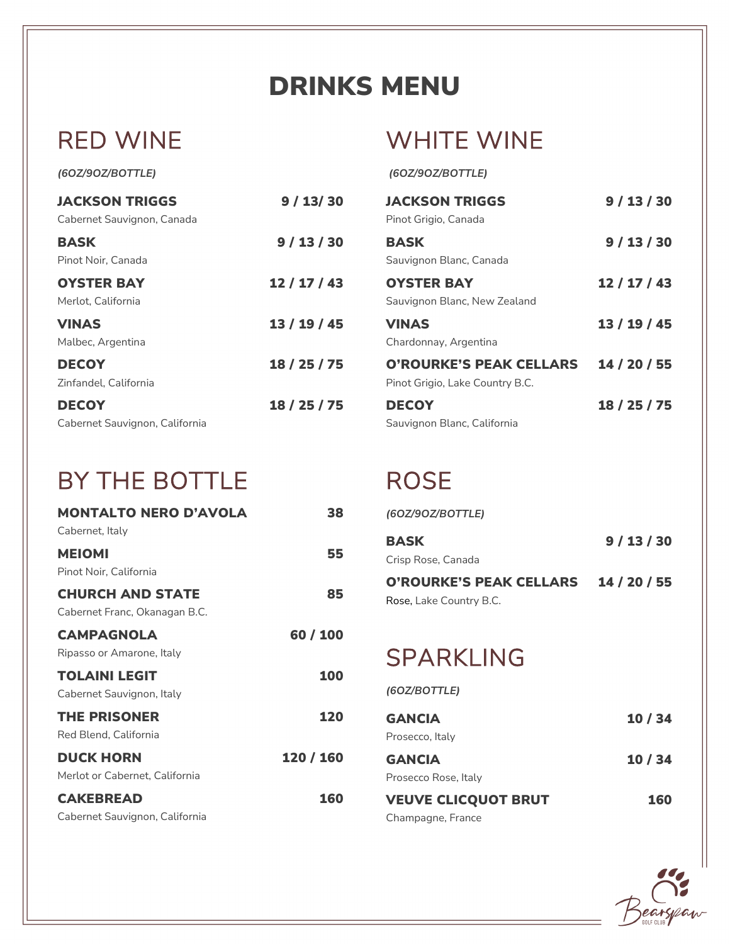# DRINKS MENU

## RED WINE

## WHITE WINE

*(6OZ/9OZ/BOTTLE)*

#### *(6OZ/9OZ/BOTTLE)*

| <b>JACKSON TRIGGS</b><br>Cabernet Sauvignon, Canada | 9/13/30      | <b>JACKSON TRIGGS</b><br>Pinot Grigio, Canada                     | 9/13/30      |
|-----------------------------------------------------|--------------|-------------------------------------------------------------------|--------------|
| <b>BASK</b><br>Pinot Noir, Canada                   | 9/13/30      | <b>BASK</b><br>Sauvignon Blanc, Canada                            | 9/13/30      |
| <b>OYSTER BAY</b><br>Merlot, California             | 12/17/43     | <b>OYSTER BAY</b><br>Sauvignon Blanc, New Zealand                 | 12 / 17 / 43 |
| <b>VINAS</b><br>Malbec, Argentina                   | 13 / 19 / 45 | <b>VINAS</b><br>Chardonnay, Argentina                             | 13 / 19 / 45 |
| <b>DECOY</b><br>Zinfandel, California               | 18 / 25 / 75 | <b>O'ROURKE'S PEAK CELLARS</b><br>Pinot Grigio, Lake Country B.C. | 14 / 20 / 55 |
| <b>DECOY</b><br>Cabernet Sauvignon, California      | 18 / 25 / 75 | <b>DECOY</b><br>Sauvignon Blanc, California                       | 18 / 25 / 75 |

#### BY THE BOTTLE

| <b>MONTALTO NERO D'AVOLA</b>   | 38        |
|--------------------------------|-----------|
| Cabernet, Italy                |           |
| <b>MEIOMI</b>                  | 55        |
| Pinot Noir. California         |           |
| <b>CHURCH AND STATE</b>        | 85        |
| Cabernet Franc, Okanagan B.C.  |           |
| <b>CAMPAGNOLA</b>              | 60 / 100  |
| Ripasso or Amarone, Italy      |           |
| <b>TOLAINI LEGIT</b>           | 100       |
| Cabernet Sauvignon, Italy      |           |
| <b>THE PRISONER</b>            | 120       |
| Red Blend, California          |           |
| <b>DUCK HORN</b>               | 120 / 160 |
| Merlot or Cabernet, California |           |
| <b>CAKEBREAD</b>               | 160       |
| Cabernet Sauvignon, California |           |

### **ROSE**

| (60Z/90Z/BOTTLE)                                          |              |
|-----------------------------------------------------------|--------------|
| <b>BASK</b>                                               | 9 / 13 / 30  |
| Crisp Rose, Canada                                        |              |
| <b>O'ROURKE'S PEAK CELLARS</b><br>Rose, Lake Country B.C. | 14 / 20 / 55 |
| <b>SPARKLING</b>                                          |              |
| (60Z/BOTTLE)                                              |              |
| <b>GANCIA</b>                                             | 10/34        |
| Prosecco, Italy                                           |              |
| <b>GANCIA</b>                                             | 10/34        |
| Prosecco Rose, Italy                                      |              |
| <b>VEUVE CLICQUOT BRUT</b><br>Champagne, France           | 160          |